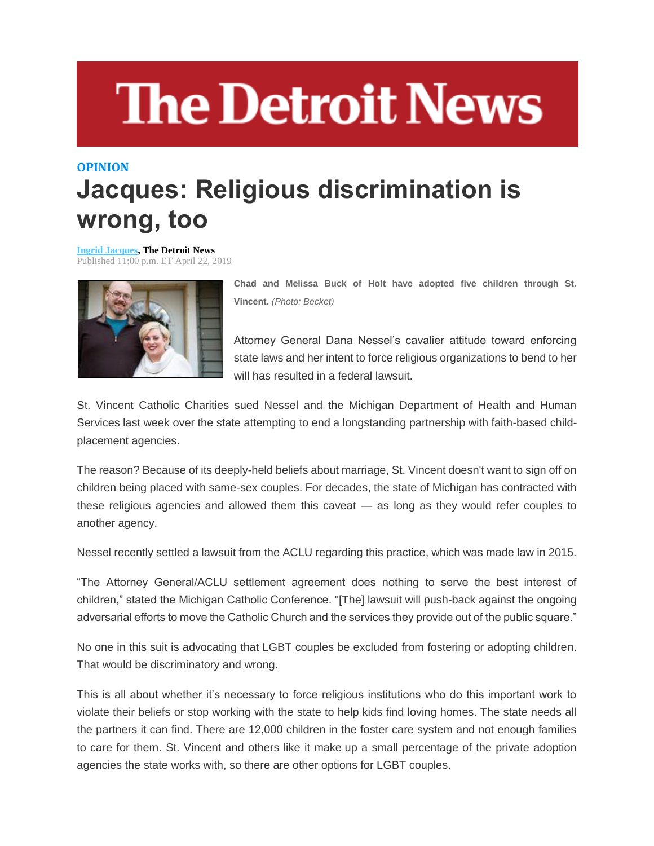## **The Detroit News**

## **OPINION Jacques: Religious discrimination is wrong, too**

**[Ingrid Jacques,](http://www.detroitnews.com/staff/26553/ingrid-jacques/) The Detroit News** Published 11:00 p.m. ET April 22, 2019



**Chad and Melissa Buck of Holt have adopted five children through St. Vincent.** *(Photo: Becket)*

Attorney General Dana Nessel's cavalier attitude toward enforcing state laws and her intent to force religious organizations to bend to her will has resulted in a federal lawsuit.

St. Vincent Catholic Charities sued Nessel and the Michigan Department of Health and Human Services last week over the state attempting to end a longstanding partnership with faith-based childplacement agencies.

The reason? Because of its deeply-held beliefs about marriage, St. Vincent doesn't want to sign off on children being placed with same-sex couples. For decades, the state of Michigan has contracted with these religious agencies and allowed them this caveat — as long as they would refer couples to another agency.

Nessel recently settled a lawsuit from the ACLU regarding this practice, which was made law in 2015.

"The Attorney General/ACLU settlement agreement does nothing to serve the best interest of children," stated the Michigan Catholic Conference. "[The] lawsuit will push-back against the ongoing adversarial efforts to move the Catholic Church and the services they provide out of the public square."

No one in this suit is advocating that LGBT couples be excluded from fostering or adopting children. That would be discriminatory and wrong.

This is all about whether it's necessary to force religious institutions who do this important work to violate their beliefs or stop working with the state to help kids find loving homes. The state needs all the partners it can find. There are 12,000 children in the foster care system and not enough families to care for them. St. Vincent and others like it make up a small percentage of the private adoption agencies the state works with, so there are other options for LGBT couples.